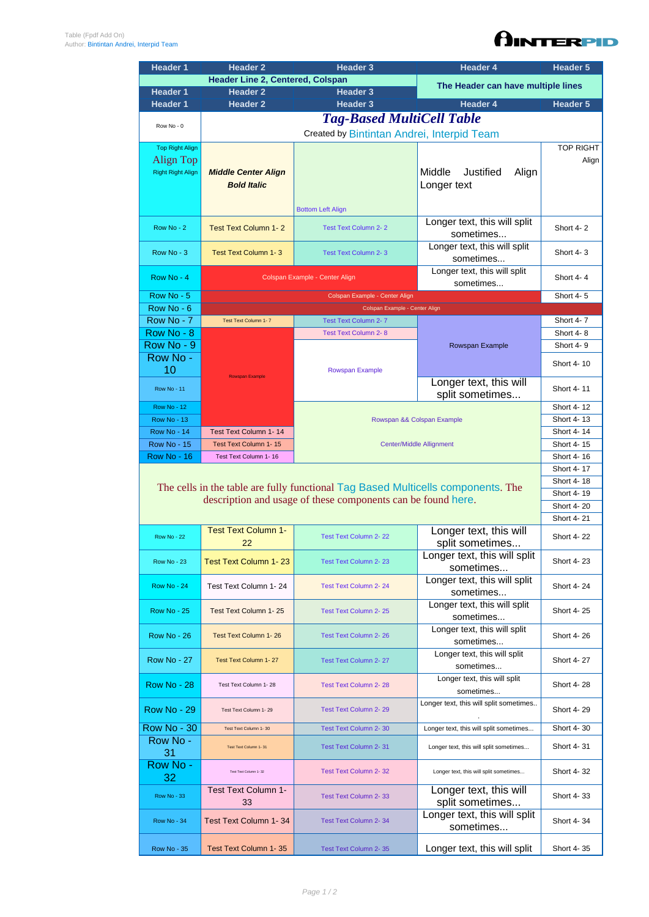| <b>Header Line 2, Centered, Colspan</b><br>Header 3                                                                      |                                    |  |  |  |  |
|--------------------------------------------------------------------------------------------------------------------------|------------------------------------|--|--|--|--|
| <b>Header 1</b><br><b>Header 2</b>                                                                                       | The Header can have multiple lines |  |  |  |  |
| <b>Header 1</b><br><b>Header 2</b><br><b>Header 3</b><br><b>Header 4</b>                                                 | Header 5                           |  |  |  |  |
| <b>Tag-Based MultiCell Table</b>                                                                                         |                                    |  |  |  |  |
| Row No - 0<br>Created by Bintintan Andrei, Interpid Team                                                                 |                                    |  |  |  |  |
| <b>Top Right Align</b>                                                                                                   | <b>TOP RIGHT</b>                   |  |  |  |  |
| Align Top                                                                                                                | Align                              |  |  |  |  |
| Middle<br>Justified<br><b>Right Right Align</b><br><b>Middle Center Align</b><br>Align                                   |                                    |  |  |  |  |
| <b>Bold Italic</b><br>Longer text                                                                                        |                                    |  |  |  |  |
|                                                                                                                          |                                    |  |  |  |  |
| <b>Bottom Left Align</b>                                                                                                 |                                    |  |  |  |  |
| Longer text, this will split<br>Row No - 2<br><b>Test Text Column 1-2</b><br><b>Test Text Column 2-2</b>                 | Short 4-2                          |  |  |  |  |
| sometimes                                                                                                                |                                    |  |  |  |  |
| Longer text, this will split<br>Row No - 3<br><b>Test Text Column 1-3</b><br><b>Test Text Column 2-3</b><br>sometimes    | Short 4-3                          |  |  |  |  |
| Longer text, this will split                                                                                             |                                    |  |  |  |  |
| Row No - 4<br>Colspan Example - Center Align<br>sometimes                                                                | Short 4-4                          |  |  |  |  |
| Row No - 5<br>Colspan Example - Center Align                                                                             | Short 4-5                          |  |  |  |  |
| Row No - 6<br>Colspan Example - Center Align                                                                             |                                    |  |  |  |  |
| Row No - 7<br>Test Text Column 1-7<br><b>Test Text Column 2-7</b>                                                        | Short 4-7                          |  |  |  |  |
| Row No - 8<br><b>Test Text Column 2-8</b>                                                                                | Short 4-8                          |  |  |  |  |
| Row No - 9<br>Rowspan Example                                                                                            | Short 4-9                          |  |  |  |  |
| Row No -                                                                                                                 | Short 4-10                         |  |  |  |  |
| 10<br><b>Rowspan Example</b><br><b>Rowspan Example</b>                                                                   |                                    |  |  |  |  |
| Longer text, this will<br><b>Row No - 11</b><br>split sometimes                                                          | Short 4-11                         |  |  |  |  |
| <b>Row No - 12</b>                                                                                                       | Short 4-12                         |  |  |  |  |
| <b>Row No - 13</b><br>Rowspan && Colspan Example                                                                         | Short 4-13                         |  |  |  |  |
| <b>Row No - 14</b><br>Test Text Column 1-14                                                                              | Short 4-14                         |  |  |  |  |
| <b>Row No - 15</b><br>Test Text Column 1-15<br><b>Center/Middle Allignment</b>                                           | Short 4-15                         |  |  |  |  |
| <b>Row No - 16</b><br>Test Text Column 1-16                                                                              | Short 4-16                         |  |  |  |  |
|                                                                                                                          |                                    |  |  |  |  |
| The cells in the table are fully functional Tag Based Multicells components. The                                         | Short 4-18                         |  |  |  |  |
| description and usage of these components can be found here.                                                             | Short 4-19                         |  |  |  |  |
|                                                                                                                          |                                    |  |  |  |  |
|                                                                                                                          | Short 4-21                         |  |  |  |  |
| Longer text, this will<br><b>Test Text Column 1-</b><br><b>Test Text Column 2-22</b><br><b>Row No - 22</b>               |                                    |  |  |  |  |
| split sometimes<br>22                                                                                                    | Short 4-22                         |  |  |  |  |
| Longer text, this will split<br><b>Test Text Column 1-23</b><br><b>Row No - 23</b><br><b>Test Text Column 2-23</b>       |                                    |  |  |  |  |
|                                                                                                                          | Short 4-23                         |  |  |  |  |
| sometimes                                                                                                                |                                    |  |  |  |  |
| Longer text, this will split<br>Test Text Column 1-24<br><b>Test Text Column 2-24</b><br><b>Row No - 24</b>              | Short 4-24                         |  |  |  |  |
| sometimes                                                                                                                |                                    |  |  |  |  |
| Longer text, this will split<br><b>Row No - 25</b><br>Test Text Column 1-25<br><b>Test Text Column 2-25</b><br>sometimes | Short 4-25                         |  |  |  |  |
| Longer text, this will split                                                                                             |                                    |  |  |  |  |
| <b>Row No - 26</b><br>Test Text Column 1-26<br><b>Test Text Column 2-26</b><br>sometimes                                 | Short 4-26                         |  |  |  |  |
| Longer text, this will split                                                                                             |                                    |  |  |  |  |
| <b>Row No - 27</b><br>Test Text Column 2-27<br>Test Text Column 1-27<br>sometimes                                        | Short 4-27                         |  |  |  |  |
| Longer text, this will split<br><b>Row No - 28</b><br>Test Text Column 1-28<br><b>Test Text Column 2-28</b>              | Short 4-28                         |  |  |  |  |
| sometimes                                                                                                                |                                    |  |  |  |  |
| Longer text, this will split sometimes<br><b>Row No - 29</b><br><b>Test Text Column 2-29</b><br>Test Text Column 1-29    | Short 4-29                         |  |  |  |  |
| Row No - 30<br>Longer text, this will split sometimes<br><b>Test Text Column 2-30</b><br>Test Text Column 1-30           | Short 4-30                         |  |  |  |  |
| Row No -<br>Test Text Column 2-31<br>Longer text, this will split sometimes<br>Test Text Column 1-31                     | Short 4-31                         |  |  |  |  |
| 31                                                                                                                       |                                    |  |  |  |  |
| Row No -<br>Test Text Column 1-32<br><b>Test Text Column 2-32</b><br>Longer text, this will split sometimes<br>32        | Short 4-32                         |  |  |  |  |
| Test Text Column 1-<br>Longer text, this will                                                                            |                                    |  |  |  |  |
| <b>Row No - 33</b><br>Test Text Column 2-33<br>split sometimes<br>33                                                     | Short 4-33                         |  |  |  |  |
| Longer text, this will split<br>Test Text Column 1-34<br>Test Text Column 2-34<br><b>Row No - 34</b><br>sometimes        | Short 4-34                         |  |  |  |  |